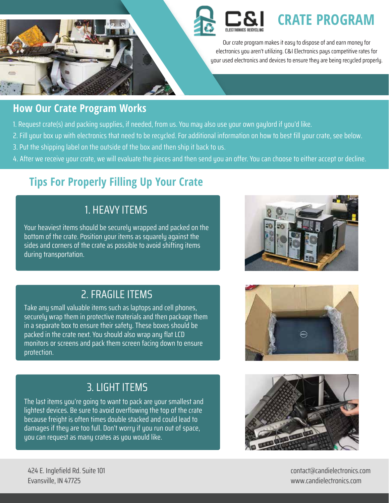

# **CRATE PROGRAM**

Our crate program makes it easy to dispose of and earn money for electronics you aren't utilizing. C&I Electronics pays competitive rates for your used electronics and devices to ensure they are being recycled properly.

### **How Our Crate Program Works**

- 1. Request crate(s) and packing supplies, if needed, from us. You may also use your own gaylord if you'd like.
- 2. Fill your box up with electronics that need to be recycled. For additional information on how to best fill your crate, see below.
- 3. Put the shipping label on the outside of the box and then ship it back to us.
- 4. After we receive your crate, we will evaluate the pieces and then send you an offer. You can choose to either accept or decline.

## **Tips For Properly Filling Up Your Crate**

## 1. HEAVY ITEMS

Your heaviest items should be securely wrapped and packed on the bottom of the crate. Position your items as squarely against the sides and corners of the crate as possible to avoid shifting items during transportation.

## 2. FRAGILE ITEMS

Take any small valuable items such as laptops and cell phones, securely wrap them in protective materials and then package them in a separate box to ensure their safety. These boxes should be packed in the crate next. You should also wrap any flat LCD monitors or screens and pack them screen facing down to ensure protection.





## 3. LIGHT ITEMS

The last items you're going to want to pack are your smallest and lightest devices. Be sure to avoid overflowing the top of the crate because freight is often times double stacked and could lead to damages if they are too full. Don't worry if you run out of space, you can request as many crates as you would like.



424 E. Inglefield Rd. Suite 101 Evansville, IN 47725

contact@candielectronics.com www.candielectronics.com